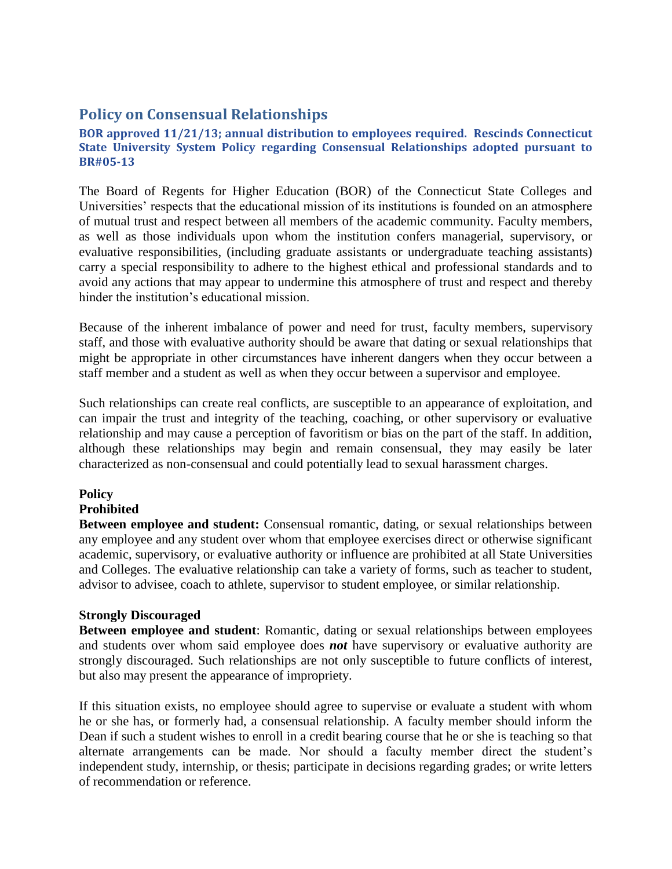# **Policy on Consensual Relationships**

**BOR approved 11/21/13; annual distribution to employees required. Rescinds Connecticut State University System Policy regarding Consensual Relationships adopted pursuant to BR#05-13**

The Board of Regents for Higher Education (BOR) of the Connecticut State Colleges and Universities' respects that the educational mission of its institutions is founded on an atmosphere of mutual trust and respect between all members of the academic community. Faculty members, as well as those individuals upon whom the institution confers managerial, supervisory, or evaluative responsibilities, (including graduate assistants or undergraduate teaching assistants) carry a special responsibility to adhere to the highest ethical and professional standards and to avoid any actions that may appear to undermine this atmosphere of trust and respect and thereby hinder the institution's educational mission.

Because of the inherent imbalance of power and need for trust, faculty members, supervisory staff, and those with evaluative authority should be aware that dating or sexual relationships that might be appropriate in other circumstances have inherent dangers when they occur between a staff member and a student as well as when they occur between a supervisor and employee.

Such relationships can create real conflicts, are susceptible to an appearance of exploitation, and can impair the trust and integrity of the teaching, coaching, or other supervisory or evaluative relationship and may cause a perception of favoritism or bias on the part of the staff. In addition, although these relationships may begin and remain consensual, they may easily be later characterized as non-consensual and could potentially lead to sexual harassment charges.

## **Policy**

### **Prohibited**

**Between employee and student:** Consensual romantic, dating, or sexual relationships between any employee and any student over whom that employee exercises direct or otherwise significant academic, supervisory, or evaluative authority or influence are prohibited at all State Universities and Colleges. The evaluative relationship can take a variety of forms, such as teacher to student, advisor to advisee, coach to athlete, supervisor to student employee, or similar relationship.

### **Strongly Discouraged**

**Between employee and student**: Romantic, dating or sexual relationships between employees and students over whom said employee does *not* have supervisory or evaluative authority are strongly discouraged. Such relationships are not only susceptible to future conflicts of interest, but also may present the appearance of impropriety.

If this situation exists, no employee should agree to supervise or evaluate a student with whom he or she has, or formerly had, a consensual relationship. A faculty member should inform the Dean if such a student wishes to enroll in a credit bearing course that he or she is teaching so that alternate arrangements can be made. Nor should a faculty member direct the student's independent study, internship, or thesis; participate in decisions regarding grades; or write letters of recommendation or reference.